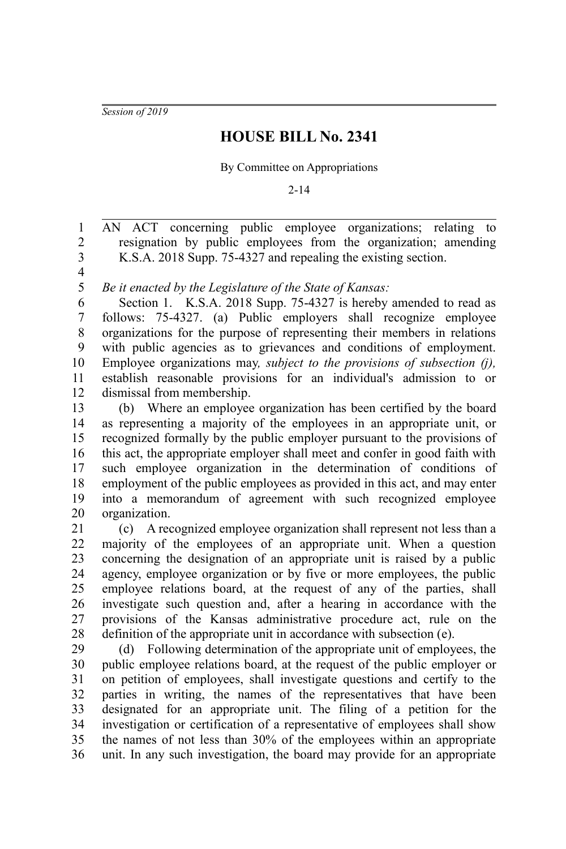*Session of 2019*

## **HOUSE BILL No. 2341**

## By Committee on Appropriations

2-14

AN ACT concerning public employee organizations; relating to resignation by public employees from the organization; amending K.S.A. 2018 Supp. 75-4327 and repealing the existing section. 1 2 3

4 5

*Be it enacted by the Legislature of the State of Kansas:*

Section 1. K.S.A. 2018 Supp. 75-4327 is hereby amended to read as follows: 75-4327. (a) Public employers shall recognize employee organizations for the purpose of representing their members in relations with public agencies as to grievances and conditions of employment. Employee organizations may*, subject to the provisions of subsection (j),* establish reasonable provisions for an individual's admission to or dismissal from membership. 6 7 8 9 10 11 12

(b) Where an employee organization has been certified by the board as representing a majority of the employees in an appropriate unit, or recognized formally by the public employer pursuant to the provisions of this act, the appropriate employer shall meet and confer in good faith with such employee organization in the determination of conditions of employment of the public employees as provided in this act, and may enter into a memorandum of agreement with such recognized employee organization. 13 14 15 16 17 18 19 20

(c) A recognized employee organization shall represent not less than a majority of the employees of an appropriate unit. When a question concerning the designation of an appropriate unit is raised by a public agency, employee organization or by five or more employees, the public employee relations board, at the request of any of the parties, shall investigate such question and, after a hearing in accordance with the provisions of the Kansas administrative procedure act, rule on the definition of the appropriate unit in accordance with subsection (e). 21 22 23 24 25 26 27 28

(d) Following determination of the appropriate unit of employees, the public employee relations board, at the request of the public employer or on petition of employees, shall investigate questions and certify to the parties in writing, the names of the representatives that have been designated for an appropriate unit. The filing of a petition for the investigation or certification of a representative of employees shall show the names of not less than 30% of the employees within an appropriate unit. In any such investigation, the board may provide for an appropriate 29 30 31 32 33 34 35 36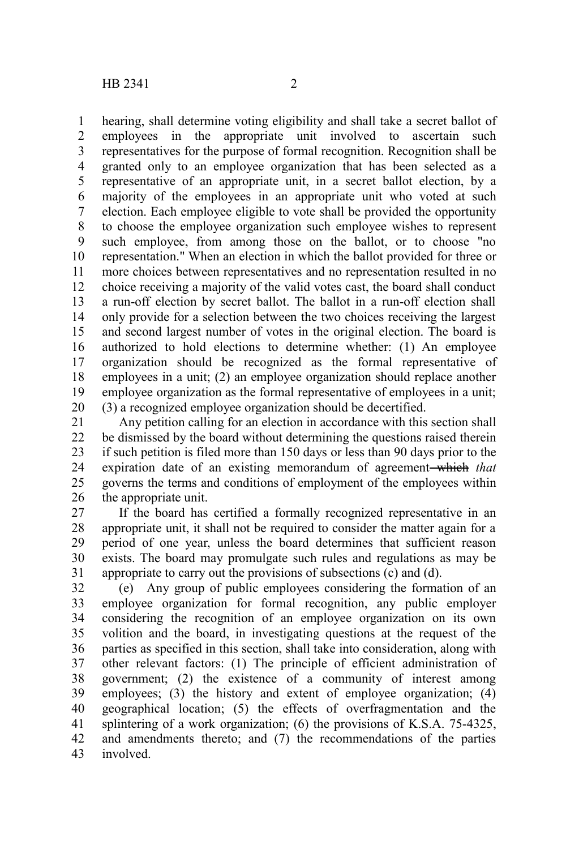hearing, shall determine voting eligibility and shall take a secret ballot of employees in the appropriate unit involved to ascertain such representatives for the purpose of formal recognition. Recognition shall be granted only to an employee organization that has been selected as a representative of an appropriate unit, in a secret ballot election, by a majority of the employees in an appropriate unit who voted at such election. Each employee eligible to vote shall be provided the opportunity to choose the employee organization such employee wishes to represent such employee, from among those on the ballot, or to choose "no representation." When an election in which the ballot provided for three or more choices between representatives and no representation resulted in no choice receiving a majority of the valid votes cast, the board shall conduct a run-off election by secret ballot. The ballot in a run-off election shall only provide for a selection between the two choices receiving the largest and second largest number of votes in the original election. The board is authorized to hold elections to determine whether: (1) An employee organization should be recognized as the formal representative of employees in a unit; (2) an employee organization should replace another employee organization as the formal representative of employees in a unit; (3) a recognized employee organization should be decertified. 1 2 3 4 5 6 7 8 9 10 11 12 13 14 15 16 17 18 19 20

Any petition calling for an election in accordance with this section shall be dismissed by the board without determining the questions raised therein if such petition is filed more than 150 days or less than 90 days prior to the expiration date of an existing memorandum of agreement-which that governs the terms and conditions of employment of the employees within the appropriate unit. 21 22 23 24 25 26

If the board has certified a formally recognized representative in an appropriate unit, it shall not be required to consider the matter again for a period of one year, unless the board determines that sufficient reason exists. The board may promulgate such rules and regulations as may be appropriate to carry out the provisions of subsections (c) and (d). 27 28 29 30 31

(e) Any group of public employees considering the formation of an employee organization for formal recognition, any public employer considering the recognition of an employee organization on its own volition and the board, in investigating questions at the request of the parties as specified in this section, shall take into consideration, along with other relevant factors: (1) The principle of efficient administration of government; (2) the existence of a community of interest among employees; (3) the history and extent of employee organization; (4) geographical location; (5) the effects of overfragmentation and the splintering of a work organization; (6) the provisions of K.S.A. 75-4325, and amendments thereto; and (7) the recommendations of the parties involved. 32 33 34 35 36 37 38 39 40 41 42 43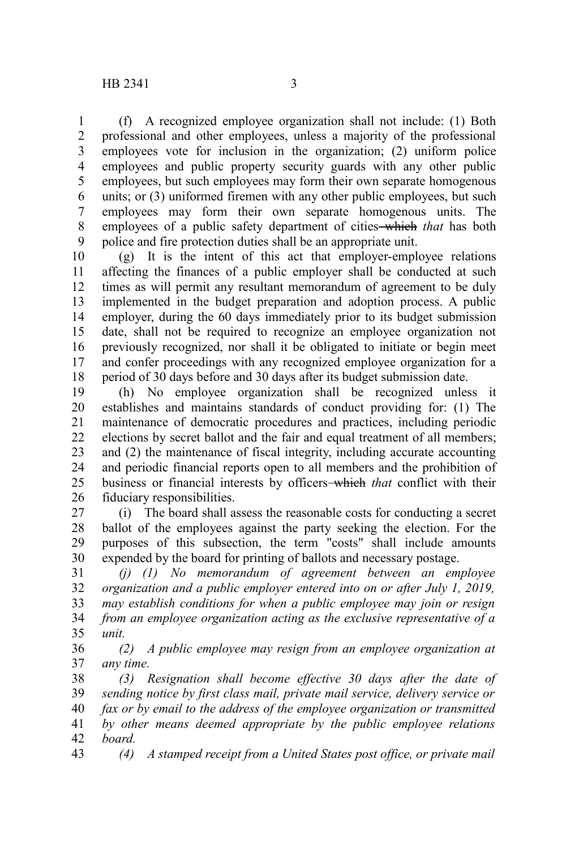(f) A recognized employee organization shall not include: (1) Both professional and other employees, unless a majority of the professional employees vote for inclusion in the organization; (2) uniform police employees and public property security guards with any other public employees, but such employees may form their own separate homogenous units; or (3) uniformed firemen with any other public employees, but such employees may form their own separate homogenous units. The employees of a public safety department of cities which *that* has both police and fire protection duties shall be an appropriate unit. 1 2 3 4 5 6 7 8 9

(g) It is the intent of this act that employer-employee relations affecting the finances of a public employer shall be conducted at such times as will permit any resultant memorandum of agreement to be duly implemented in the budget preparation and adoption process. A public employer, during the 60 days immediately prior to its budget submission date, shall not be required to recognize an employee organization not previously recognized, nor shall it be obligated to initiate or begin meet and confer proceedings with any recognized employee organization for a period of 30 days before and 30 days after its budget submission date. 10 11 12 13 14 15 16 17 18

(h) No employee organization shall be recognized unless it establishes and maintains standards of conduct providing for: (1) The maintenance of democratic procedures and practices, including periodic elections by secret ballot and the fair and equal treatment of all members; and (2) the maintenance of fiscal integrity, including accurate accounting and periodic financial reports open to all members and the prohibition of business or financial interests by officers which *that* conflict with their fiduciary responsibilities. 19 20 21 22 23 24 25 26

(i) The board shall assess the reasonable costs for conducting a secret ballot of the employees against the party seeking the election. For the purposes of this subsection, the term "costs" shall include amounts expended by the board for printing of ballots and necessary postage. 27 28 29 30

*(j) (1) No memorandum of agreement between an employee organization and a public employer entered into on or after July 1, 2019, may establish conditions for when a public employee may join or resign from an employee organization acting as the exclusive representative of a unit.* 31 32 33 34 35

*(2) A public employee may resign from an employee organization at any time.* 36 37

*(3) Resignation shall become effective 30 days after the date of sending notice by first class mail, private mail service, delivery service or fax or by email to the address of the employee organization or transmitted by other means deemed appropriate by the public employee relations board.* 38 39 40 41 42

*(4) A stamped receipt from a United States post office, or private mail* 43